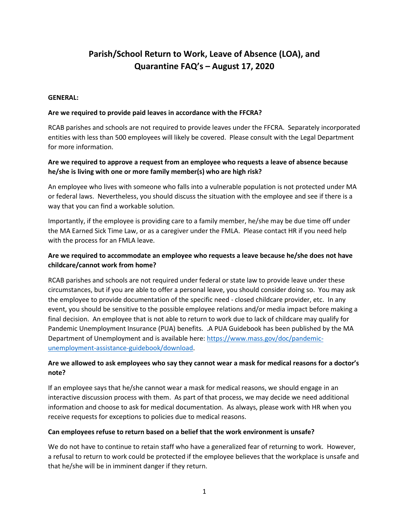# **Parish/School Return to Work, Leave of Absence (LOA), and Quarantine FAQ's – August 17, 2020**

#### **GENERAL:**

#### **Are we required to provide paid leaves in accordance with the FFCRA?**

RCAB parishes and schools are not required to provide leaves under the FFCRA. Separately incorporated entities with less than 500 employees will likely be covered. Please consult with the Legal Department for more information.

# **Are we required to approve a request from an employee who requests a leave of absence because he/she is living with one or more family member(s) who are high risk?**

An employee who lives with someone who falls into a vulnerable population is not protected under MA or federal laws. Nevertheless, you should discuss the situation with the employee and see if there is a way that you can find a workable solution.

Importantly, if the employee is providing care to a family member, he/she may be due time off under the MA Earned Sick Time Law, or as a caregiver under the FMLA. Please contact HR if you need help with the process for an FMLA leave.

# **Are we required to accommodate an employee who requests a leave because he/she does not have childcare/cannot work from home?**

RCAB parishes and schools are not required under federal or state law to provide leave under these circumstances, but if you are able to offer a personal leave, you should consider doing so. You may ask the employee to provide documentation of the specific need - closed childcare provider, etc. In any event, you should be sensitive to the possible employee relations and/or media impact before making a final decision. An employee that is not able to return to work due to lack of childcare may qualify for Pandemic Unemployment Insurance (PUA) benefits. .A PUA Guidebook has been published by the MA Department of Unemployment and is available here: [https://www.mass.gov/doc/pandemic](https://www.mass.gov/doc/pandemic-unemployment-assistance-guidebook/download)[unemployment-assistance-guidebook/download.](https://www.mass.gov/doc/pandemic-unemployment-assistance-guidebook/download)

# **Are we allowed to ask employees who say they cannot wear a mask for medical reasons for a doctor's note?**

If an employee says that he/she cannot wear a mask for medical reasons, we should engage in an interactive discussion process with them. As part of that process, we may decide we need additional information and choose to ask for medical documentation. As always, please work with HR when you receive requests for exceptions to policies due to medical reasons.

#### **Can employees refuse to return based on a belief that the work environment is unsafe?**

We do not have to continue to retain staff who have a generalized fear of returning to work. However, a refusal to return to work could be protected if the employee believes that the workplace is unsafe and that he/she will be in imminent danger if they return.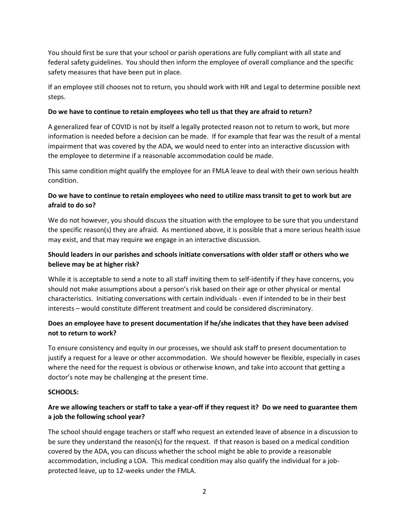You should first be sure that your school or parish operations are fully compliant with all state and federal safety guidelines. You should then inform the employee of overall compliance and the specific safety measures that have been put in place.

If an employee still chooses not to return, you should work with HR and Legal to determine possible next steps.

#### **Do we have to continue to retain employees who tell us that they are afraid to return?**

A generalized fear of COVID is not by itself a legally protected reason not to return to work, but more information is needed before a decision can be made. If for example that fear was the result of a mental impairment that was covered by the ADA, we would need to enter into an interactive discussion with the employee to determine if a reasonable accommodation could be made.

This same condition might qualify the employee for an FMLA leave to deal with their own serious health condition.

# **Do we have to continue to retain employees who need to utilize mass transit to get to work but are afraid to do so?**

We do not however, you should discuss the situation with the employee to be sure that you understand the specific reason(s) they are afraid. As mentioned above, it is possible that a more serious health issue may exist, and that may require we engage in an interactive discussion.

# **Should leaders in our parishes and schools initiate conversations with older staff or others who we believe may be at higher risk?**

While it is acceptable to send a note to all staff inviting them to self-identify if they have concerns, you should not make assumptions about a person's risk based on their age or other physical or mental characteristics. Initiating conversations with certain individuals - even if intended to be in their best interests – would constitute different treatment and could be considered discriminatory.

# **Does an employee have to present documentation if he/she indicates that they have been advised not to return to work?**

To ensure consistency and equity in our processes, we should ask staff to present documentation to justify a request for a leave or other accommodation. We should however be flexible, especially in cases where the need for the request is obvious or otherwise known, and take into account that getting a doctor's note may be challenging at the present time.

#### **SCHOOLS:**

# **Are we allowing teachers or staff to take a year-off if they request it? Do we need to guarantee them a job the following school year?**

The school should engage teachers or staff who request an extended leave of absence in a discussion to be sure they understand the reason(s) for the request. If that reason is based on a medical condition covered by the ADA, you can discuss whether the school might be able to provide a reasonable accommodation, including a LOA. This medical condition may also qualify the individual for a jobprotected leave, up to 12-weeks under the FMLA.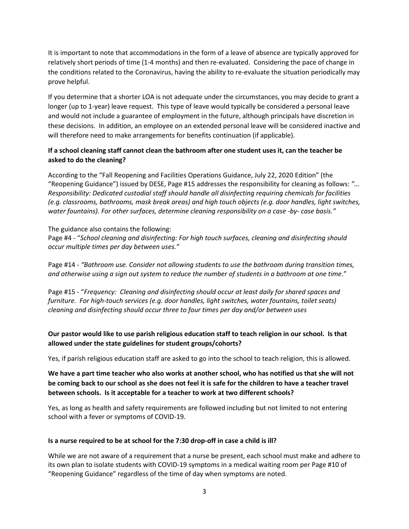It is important to note that accommodations in the form of a leave of absence are typically approved for relatively short periods of time (1-4 months) and then re-evaluated. Considering the pace of change in the conditions related to the Coronavirus, having the ability to re-evaluate the situation periodically may prove helpful.

If you determine that a shorter LOA is not adequate under the circumstances, you may decide to grant a longer (up to 1-year) leave request. This type of leave would typically be considered a personal leave and would not include a guarantee of employment in the future, although principals have discretion in these decisions. In addition, an employee on an extended personal leave will be considered inactive and will therefore need to make arrangements for benefits continuation (if applicable).

# **If a school cleaning staff cannot clean the bathroom after one student uses it, can the teacher be asked to do the cleaning?**

According to the "Fall Reopening and Facilities Operations Guidance, July 22, 2020 Edition" (the "Reopening Guidance") issued by DESE, Page #15 addresses the responsibility for cleaning as follows: *"... Responsibility: Dedicated custodial staff should handle all disinfecting requiring chemicals for facilities (e.g. classrooms, bathrooms, mask break areas) and high touch objects (e.g. door handles, light switches, water fountains). For other surfaces, determine cleaning responsibility on a case -by- case basis."*

The guidance also contains the following:

Page #4 - "*School cleaning and disinfecting: For high touch surfaces, cleaning and disinfecting should occur multiple times per day between uses."*

Page #14 - *"Bathroom use. Consider not allowing students to use the bathroom during transition times, and otherwise using a sign out system to reduce the number of students in a bathroom at one time*."

Page #15 - "*Frequency: Cleaning and disinfecting should occur at least daily for shared spaces and furniture. For high-touch services (e.g. door handles, light switches, water fountains, toilet seats) cleaning and disinfecting should occur three to four times per day and/or between uses*

# **Our pastor would like to use parish religious education staff to teach religion in our school. Is that allowed under the state guidelines for student groups/cohorts?**

Yes, if parish religious education staff are asked to go into the school to teach religion, this is allowed.

**We have a part time teacher who also works at another school, who has notified us that she will not be coming back to our school as she does not feel it is safe for the children to have a teacher travel between schools. Is it acceptable for a teacher to work at two different schools?**

Yes, as long as health and safety requirements are followed including but not limited to not entering school with a fever or symptoms of COVID-19.

# **Is a nurse required to be at school for the 7:30 drop-off in case a child is ill?**

While we are not aware of a requirement that a nurse be present, each school must make and adhere to its own plan to isolate students with COVID-19 symptoms in a medical waiting room per Page #10 of "Reopening Guidance" regardless of the time of day when symptoms are noted.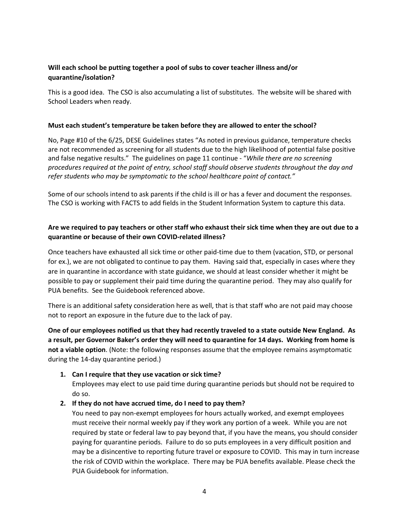# **Will each school be putting together a pool of subs to cover teacher illness and/or quarantine/isolation?**

This is a good idea. The CSO is also accumulating a list of substitutes. The website will be shared with School Leaders when ready.

#### **Must each student's temperature be taken before they are allowed to enter the school?**

No, Page #10 of the 6/25, DESE Guidelines states "As noted in previous guidance, temperature checks are not recommended as screening for all students due to the high likelihood of potential false positive and false negative results." The guidelines on page 11 continue - "*While there are no screening procedures required at the point of entry, school staff should observe students throughout the day and refer students who may be symptomatic to the school healthcare point of contact."*

Some of our schools intend to ask parents if the child is ill or has a fever and document the responses. The CSO is working with FACTS to add fields in the Student Information System to capture this data.

# **Are we required to pay teachers or other staff who exhaust their sick time when they are out due to a quarantine or because of their own COVID-related illness?**

Once teachers have exhausted all sick time or other paid-time due to them (vacation, STD, or personal for ex.), we are not obligated to continue to pay them. Having said that, especially in cases where they are in quarantine in accordance with state guidance, we should at least consider whether it might be possible to pay or supplement their paid time during the quarantine period. They may also qualify for PUA benefits. See the Guidebook referenced above.

There is an additional safety consideration here as well, that is that staff who are not paid may choose not to report an exposure in the future due to the lack of pay.

**One of our employees notified us that they had recently traveled to a state outside New England. As a result, per Governor Baker's order they will need to quarantine for 14 days. Working from home is not a viable option**. (Note: the following responses assume that the employee remains asymptomatic during the 14-day quarantine period.)

# **1. Can I require that they use vacation or sick time?**

Employees may elect to use paid time during quarantine periods but should not be required to do so.

# **2. If they do not have accrued time, do I need to pay them?**

You need to pay non-exempt employees for hours actually worked, and exempt employees must receive their normal weekly pay if they work any portion of a week. While you are not required by state or federal law to pay beyond that, if you have the means, you should consider paying for quarantine periods. Failure to do so puts employees in a very difficult position and may be a disincentive to reporting future travel or exposure to COVID. This may in turn increase the risk of COVID within the workplace. There may be PUA benefits available. Please check the PUA Guidebook for information.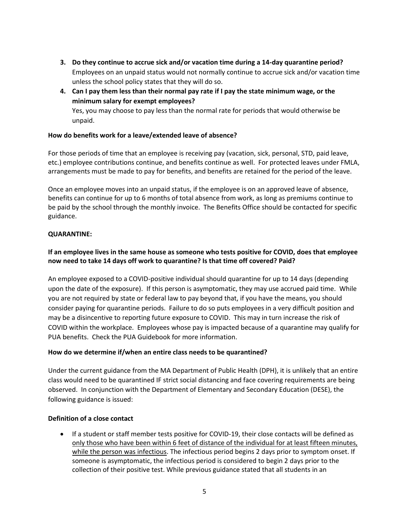- **3. Do they continue to accrue sick and/or vacation time during a 14-day quarantine period?** Employees on an unpaid status would not normally continue to accrue sick and/or vacation time unless the school policy states that they will do so.
- **4. Can I pay them less than their normal pay rate if I pay the state minimum wage, or the minimum salary for exempt employees?** Yes, you may choose to pay less than the normal rate for periods that would otherwise be unpaid.

#### **How do benefits work for a leave/extended leave of absence?**

For those periods of time that an employee is receiving pay (vacation, sick, personal, STD, paid leave, etc.) employee contributions continue, and benefits continue as well. For protected leaves under FMLA, arrangements must be made to pay for benefits, and benefits are retained for the period of the leave.

Once an employee moves into an unpaid status, if the employee is on an approved leave of absence, benefits can continue for up to 6 months of total absence from work, as long as premiums continue to be paid by the school through the monthly invoice. The Benefits Office should be contacted for specific guidance.

#### **QUARANTINE:**

### **If an employee lives in the same house as someone who tests positive for COVID, does that employee now need to take 14 days off work to quarantine? Is that time off covered? Paid?**

An employee exposed to a COVID-positive individual should quarantine for up to 14 days (depending upon the date of the exposure). If this person is asymptomatic, they may use accrued paid time. While you are not required by state or federal law to pay beyond that, if you have the means, you should consider paying for quarantine periods. Failure to do so puts employees in a very difficult position and may be a disincentive to reporting future exposure to COVID. This may in turn increase the risk of COVID within the workplace. Employees whose pay is impacted because of a quarantine may qualify for PUA benefits. Check the PUA Guidebook for more information.

#### **How do we determine if/when an entire class needs to be quarantined?**

Under the current guidance from the MA Department of Public Health (DPH), it is unlikely that an entire class would need to be quarantined IF strict social distancing and face covering requirements are being observed. In conjunction with the Department of Elementary and Secondary Education (DESE), the following guidance is issued:

#### **Definition of a close contact**

• If a student or staff member tests positive for COVID-19, their close contacts will be defined as only those who have been within 6 feet of distance of the individual for at least fifteen minutes, while the person was infectious. The infectious period begins 2 days prior to symptom onset. If someone is asymptomatic, the infectious period is considered to begin 2 days prior to the collection of their positive test. While previous guidance stated that all students in an